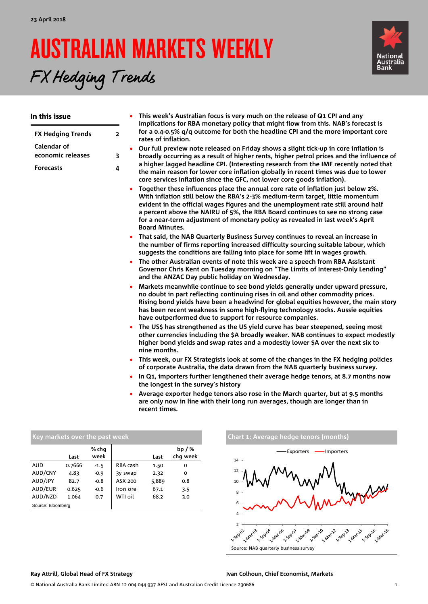FX Hedging Trends

# AUSTRALIAN MARKETS WEEKLY



#### In this issue **[FX Hedging](#page-1-0) Trends 2 [Calendar of](#page-2-0)  [economic releases](#page-2-0) 3 [Forecasts](#page-3-0) 4** • **This week's Australian focus is very much on the release of Q1 CPI and any implications for RBA monetary policy that might flow from this. NAB's forecast is for a 0.4-0.5% q/q outcome for both the headline CPI and the more important core rates of inflation.** • **Our full preview note released on Friday shows a slight tick-up in core inflation is broadly occurring as a result of higher rents, higher petrol prices and the influence of a higher lagged headline CPI. (Interesting research from the IMF recently noted that the main reason for lower core inflation globally in recent times was due to lower core services inflation since the GFC, not lower core goods inflation).** • **Together these influences place the annual core rate of inflation just below 2%. With inflation still below the RBA's 2-3% medium-term target, little momentum evident in the official wages figures and the unemployment rate still around half a percent above the NAIRU of 5%, the RBA Board continues to see no strong case for a near-term adjustment of monetary policy as revealed in last week's April Board Minutes.** • **That said, the NAB Quarterly Business Survey continues to reveal an increase in the number of firms reporting increased difficulty sourcing suitable labour, which suggests the conditions are falling into place for some lift in wages growth.**  • **The other Australian events of note this week are a speech from RBA Assistant Governor Chris Kent on Tuesday morning on "The Limits of Interest-Only Lending" and the ANZAC Day public holiday on Wednesday.** • **Markets meanwhile continue to see bond yields generally under upward pressure, no doubt in part reflecting continuing rises in oil and other commodity prices. Rising bond yields have been a headwind for global equities however, the main story has been recent weakness in some high-flying technology stocks. Aussie equities have outperformed due to support for resource companies.**  • **The US\$ has strengthened as the US yield curve has bear steepened, seeing most other currencies including the \$A broadly weaker. NAB continues to expect modestly higher bond yields and swap rates and a modestly lower \$A over the next six to nine months.** • **This week, our FX Strategists look at some of the changes in the FX hedging policies of corporate Australia, the data drawn from the NAB quarterly business survey.** • **In Q1, importers further lengthened their average hedge tenors, at 8.7 months now the longest in the survey's history**

• **Average exporter hedge tenors also rose in the March quarter, but at 9.5 months are only now in line with their long run averages, though are longer than in recent times.**

|                   | Last   | % chg<br>week |          | Last  | bp $/$ %<br>chq week |
|-------------------|--------|---------------|----------|-------|----------------------|
| <b>AUD</b>        | 0.7666 | $-1.5$        | RBA cash | 1.50  | 0                    |
| AUD/CNY           | 4.83   | $-0.9$        | 3y swap  | 2.32  | 0                    |
| AUD/JPY           | 82.7   | $-0.8$        | ASX 200  | 5,889 | 0.8                  |
| AUD/EUR           | 0.625  | $-0.6$        | Iron ore | 67.1  | 3.5                  |
| AUD/NZD           | 1.064  | 0.7           | WTI oil  | 68.2  | 3.0                  |
| Source: Bloomberg |        |               |          |       |                      |

### **Key markets over the past week Chart 1: Average hedge tenors (months)**



### **Ray Attrill, Global Head of FX Strategy Ivan Colhoun, Chief Economist, Markets**

© National Australia Bank Limited ABN 12 004 044 937 AFSL and Australian Credit Licence 230686 1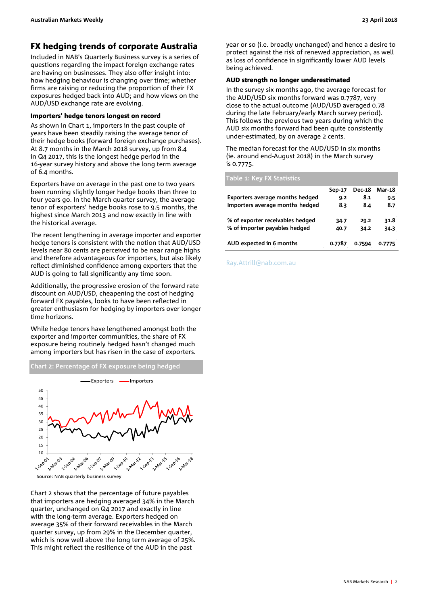### <span id="page-1-0"></span>FX hedging trends of corporate Australia

Included in NAB's Quarterly Business survey is a series of questions regarding the impact foreign exchange rates are having on businesses. They also offer insight into: how hedging behaviour is changing over time; whether firms are raising or reducing the proportion of their FX exposures hedged back into AUD; and how views on the AUD/USD exchange rate are evolving.

### Importers' hedge tenors longest on record

As shown in Chart 1, importers in the past couple of years have been steadily raising the average tenor of their hedge books (forward foreign exchange purchases). At 8.7 months in the March 2018 survey, up from 8.4 in Q4 2017, this is the longest hedge period in the 16-year survey history and above the long term average of 6.4 months.

Exporters have on average in the past one to two years been running slightly longer hedge books than three to four years go. In the March quarter survey, the average tenor of exporters' hedge books rose to 9.5 months, the highest since March 2013 and now exactly in line with the historical average.

The recent lengthening in average importer and exporter hedge tenors is consistent with the notion that AUD/USD levels near 80 cents are perceived to be near range highs and therefore advantageous for importers, but also likely reflect diminished confidence among exporters that the AUD is going to fall significantly any time soon.

Additionally, the progressive erosion of the forward rate discount on AUD/USD, cheapening the cost of hedging forward FX payables, looks to have been reflected in greater enthusiasm for hedging by importers over longer time horizons.

While hedge tenors have lengthened amongst both the exporter and importer communities, the share of FX exposure being routinely hedged hasn't changed much among importers but has risen in the case of exporters.



Chart 2 shows that the percentage of future payables that importers are hedging averaged 34% in the March quarter, unchanged on Q4 2017 and exactly in line with the long-term average. Exporters hedged on average 35% of their forward receivables in the March quarter survey, up from 29% in the December quarter, which is now well above the long term average of 25%. This might reflect the resilience of the AUD in the past

year or so (i.e. broadly unchanged) and hence a desire to protect against the risk of renewed appreciation, as well as loss of confidence in significantly lower AUD levels being achieved.

### AUD strength no longer underestimated

In the survey six months ago, the average forecast for the AUD/USD six months forward was 0.7787, very close to the actual outcome (AUD/USD averaged 0.78 during the late February/early March survey period). This follows the previous two years during which the AUD six months forward had been quite consistently under-estimated, by on average 2 cents.

The median forecast for the AUD/USD in six months (ie. around end-August 2018) in the March survey is 0.7775.

### **Table 1: Key FX Statistics Sep-17 Dec-18 Mar-18**

| <b>Exporters average months hedged</b> | 9.2    | 8.1    | 9.5    |
|----------------------------------------|--------|--------|--------|
| Importers average months hedged        | 8.3    | 8.4    | 8.7    |
|                                        |        |        |        |
| % of exporter receivables hedged       | 34.7   | 29.2   | 31.8   |
| % of importer payables hedged          | 40.7   | 34.2   | 34.3   |
|                                        |        |        |        |
| AUD expected in 6 months               | 0.7787 | 0.7594 | 0.7775 |

[Ray.Attrill@nab.com.au](mailto:Ray.Attrill@nab.com.au)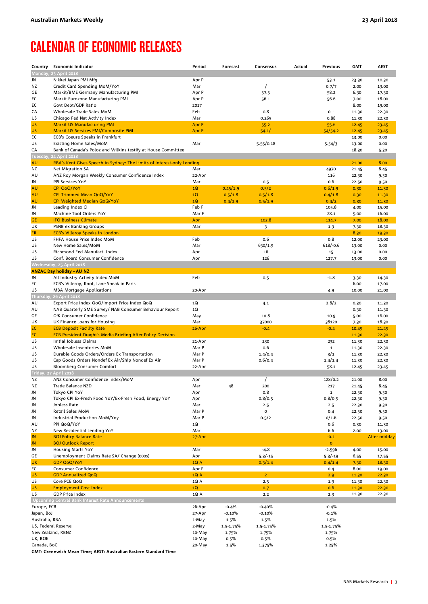### <span id="page-2-0"></span>CALENDAR OF ECONOMIC RELEASES

| Country                    | <b>Economic Indicator</b>                                              | Period | Forecast  | Consensus      | Actual | Previous    | <b>GMT</b> | <b>AEST</b>  |
|----------------------------|------------------------------------------------------------------------|--------|-----------|----------------|--------|-------------|------------|--------------|
|                            | Monday, 23 April 2018                                                  |        |           |                |        |             |            |              |
| JN                         | Nikkei Japan PMI Mfg                                                   | Apr P  |           |                |        | 53.1        | 23.30      | 10.30        |
| ΝZ                         | Credit Card Spending MoM/YoY                                           | Mar    |           | $\prime$       |        | 0.7/7       | 2.00       | 13.00        |
| GE                         | Markit/BME Germany Manufacturing PMI                                   | Apr P  |           | 57.5           |        | 58.2        | 6.30       | 17.30        |
| EC                         | Markit Eurozone Manufacturing PMI                                      | Apr P  |           | 56.1           |        | 56.6        | 7.00       | 18.00        |
| EC                         | Govt Debt/GDP Ratio                                                    | 2017   |           |                |        |             | 8.00       | 19.00        |
| CA                         | Wholesale Trade Sales MoM                                              | Feb    |           | 0.8            |        | 0.1         | 11.30      | 22.30        |
| US                         | Chicago Fed Nat Activity Index                                         | Mar    |           | 0.265          |        | 0.88        | 11.30      | 22.30        |
| US                         | <b>Markit US Manufacturing PMI</b>                                     | Apr P  |           | 55.2           |        | 55.6        | 12.45      | 23.45        |
| US                         | <b>Markit US Services PMI/Composite PMI</b>                            | Apr P  |           | 54.1/          |        | 54/54.2     | 12.45      | 23.45        |
| EC                         | ECB's Coeure Speaks in Frankfurt                                       |        |           |                |        |             | 13.00      | 0.00         |
| US                         | Existing Home Sales/MoM                                                | Mar    |           | 5.55/0.18      |        | 5.54/3      | 13.00      | 0.00         |
| CA                         | Bank of Canada's Poloz and Wilkins testify at House Committee          |        |           |                |        |             | 18.30      | 5.30         |
| Tuesday,                   | 24 April 2018                                                          |        |           |                |        |             |            |              |
| AU                         | RBA's Kent Gives Speech in Sydney: The Limits of Interest-only Lending |        |           |                |        |             | 21.00      | 8.00         |
| ΝZ                         | Net Migration SA                                                       | Mar    |           |                |        | 4970        | 21.45      | 8.45         |
| AU                         | ANZ Roy Morgan Weekly Consumer Confidence Index                        | 22-Apr |           |                |        | 116         | 22.30      | 9.30         |
| JN                         | PPI Services YoY                                                       | Mar    |           | 0.5            |        | 0.6         | 22.50      | 9.50         |
| AU                         | <b>CPI QoQ/YoY</b>                                                     | 1Q     | 0.45/1.9  | 0.5/2          |        | 0.6/1.9     | 0.30       | 11.30        |
| AU                         | <b>CPI Trimmed Mean QoQ/YoY</b>                                        | 1Q     | 0.5/1.8   | 0.5/1.8        |        | 0.4/1.8     | 0.30       | 11.30        |
| AU                         | CPI Weighted Median QoQ/YoY                                            | 1Q     | 0.4/1.9   | 0.5/1.9        |        | 0.4/2       | 0.30       | 11.30        |
| JN                         | Leading Index CI                                                       | Feb F  |           |                |        | 105.8       | 4.00       | 15.00        |
| JN                         | Machine Tool Orders YoY                                                | Mar F  |           |                |        | 28.1        | 5.00       | 16.00        |
| <b>GE</b>                  | <b>IFO Business Climate</b>                                            | Apr    |           | 102.8          |        | 114.7       | 7.00       | 18.00        |
| UK                         | PSNB ex Banking Groups                                                 | Mar    |           | 3              |        | 1.3         | 7.30       | 18.30        |
| <b>FR</b>                  | <b>ECB's Villeroy Speaks in London</b>                                 |        |           |                |        |             | 8.30       | 19.30        |
| US                         | FHFA House Price Index MoM                                             | Feb    |           | 0.6            |        | 0.8         | 12.00      | 23.00        |
| US                         | New Home Sales/MoM                                                     | Mar    |           | 630/1.9        |        | $618/-0.6$  | 13.00      | 0.00         |
| US                         | Richmond Fed Manufact. Index                                           | Apr    |           | 16             |        | 15          | 13.00      | 0.00         |
| US                         | Conf. Board Consumer Confidence                                        | Apr    |           | 126            |        | 127.7       | 13.00      | 0.00         |
|                            | Wednesday, 25 April 2018                                               |        |           |                |        |             |            |              |
|                            | <b>ANZAC Day holiday - AU NZ</b>                                       |        |           |                |        |             |            |              |
| JN                         | All Industry Activity Index MoM                                        | Feb    |           | 0.5            |        | $-1.8$      | 3.30       | 14.30        |
| EC                         | ECB's Villeroy, Knot, Lane Speak in Paris                              |        |           |                |        |             | 6.00       | 17.00        |
| US                         | <b>MBA Mortgage Applications</b>                                       | 20-Apr |           |                |        | 4.9         | 10.00      | 21.00        |
|                            | Thursday, 26 April 2018                                                |        |           |                |        |             |            |              |
| AU                         | Export Price Index QoQ/Import Price Index QoQ                          | 1Q     |           | 4.1            |        | 2.8/2       | 0.30       | 11.30        |
| AU                         | NAB Quarterly SME Survey/ NAB Consumer Behaviour Report                | 1Q     |           |                |        |             | 0.30       | 11.30        |
| GE                         | GfK Consumer Confidence                                                | May    |           | 10.8           |        | 10.9        | 5.00       | 16.00        |
| UK                         | UK Finance Loans for Housing                                           | Mar    |           | 37000          |        | 38120       | 7.30       | 18.30        |
| EC                         | <b>ECB Deposit Facility Rate</b>                                       | 26-Apr |           | $-0.4$         |        | $-0.4$      | 10.45      | 21.45        |
| EC                         | <b>ECB President Draghi's Media Briefing After Policy Decision</b>     |        |           |                |        |             | 11.30      | 22.30        |
| US                         | Initial Jobless Claims                                                 | 21-Apr |           | 230            |        | 232         | 11.30      | 22.30        |
| US                         | Wholesale Inventories MoM                                              | Mar P  |           | 0.6            |        | $\mathbf 1$ | 11.30      | 22.30        |
| US                         | Durable Goods Orders/Orders Ex Transportation                          | Mar P  |           | 1.4/0.4        |        | 3/1         | 11.30      | 22.30        |
| US                         | Cap Goods Orders Nondef Ex Air/Ship Nondef Ex Air                      | Mar P  |           | 0.6/0.4        |        | 1.4/1.4     | 11.30      | 22.30        |
| US                         | <b>Bloomberg Consumer Comfort</b>                                      | 22-Apr |           |                |        | 58.1        | 12.45      | 23.45        |
| Friday, 27 April 2018      |                                                                        |        |           |                |        |             |            |              |
| ΝZ                         | ANZ Consumer Confidence Index/MoM                                      | Apr    |           | $\prime$       |        | 128/0.2     | 21.00      | 8.00         |
| ΝZ                         | Trade Balance NZD                                                      | Mar    | 48        | 200            |        | 217         | 21.45      | 8.45         |
| JN                         | Tokyo CPI YoY                                                          | Apr    |           | 0.8            |        | $\mathbf 1$ | 22.30      | 9.30         |
| JN                         | Tokyo CPI Ex-Fresh Food YoY/Ex-Fresh Food, Energy YoY                  | Apr    |           | 0.8/0.5        |        | 0.8/0.5     | 22.30      | 9.30         |
| JN                         | Jobless Rate                                                           | Mar    |           | 2.5            |        | 2.5         | 22.30      | 9.30         |
| JN                         | Retail Sales MoM                                                       | Mar P  |           | 0              |        | 0.4         | 22.50      | 9.50         |
| JN                         | Industrial Production MoM/Yoy                                          | Mar P  |           | 0.5/2          |        | 0/1.6       | 22.50      | 9.50         |
| AU                         | PPI QoQ/YoY                                                            | 1Q     |           |                |        | 0.6         | 0.30       | 11.30        |
| NZ                         | New Residential Lending YoY                                            | Mar    |           |                |        | 6.6         | 2.00       | 13.00        |
| JN                         | <b>BOJ Policy Balance Rate</b>                                         | 27-Apr |           |                |        | $-0.1$      |            | After midday |
| JN                         | <b>BOJ Outlook Report</b>                                              |        |           |                |        | $\mathbf 0$ |            |              |
| JN                         | Housing Starts YoY                                                     | Mar    |           | $-4.8$         |        | $-2.596$    | 4.00       | 15.00        |
| GE                         | Unemployment Claims Rate SA/ Change (000s)                             | Apr    |           | $5.3/-15$      |        | $5.3/-19$   | 6.55       | 17.55        |
| UK                         | <b>GDP QoQ/YoY</b>                                                     | 1QA    |           | 0.3/1.4        |        | 0.4/1.4     | 7.30       | 18.30        |
| EC                         | Consumer Confidence                                                    | Apr F  |           |                |        | 0.4         | 8.00       | 19.00        |
| US                         | <b>GDP Annualized QoQ</b>                                              | 1QA    |           | 2 <sup>1</sup> |        | 2.9         | 11.30      | 22.30        |
| US                         | Core PCE QoQ                                                           | 1Q A   |           | 2.5            |        | 1.9         | 11.30      | 22.30        |
| US                         | <b>Employment Cost Index</b>                                           | 1Q     |           | 0.7            |        | 0.6         | 11.30      | 22.30        |
| US                         | <b>GDP Price Index</b>                                                 | 1Q A   |           | 2.2            |        | 2.3         | 11.30      | 22.30        |
|                            | <b>Upcoming Central Bank Interest Rate Announcements</b>               |        |           |                |        |             |            |              |
| Europe, ECB                |                                                                        | 26-Apr | -0.4%     | $-0.40%$       |        | $-0.4%$     |            |              |
| Japan, BoJ                 |                                                                        | 27-Apr | $-0.10%$  | $-0.10%$       |        | $-0.1%$     |            |              |
| Australia, RBA             |                                                                        | 1-May  | 1.5%      | 1.5%           |        | 1.5%        |            |              |
| US, Federal Reserve        |                                                                        | 2-May  | 1.5-1.75% | 1.5-1.75%      |        | 1.5-1.75%   |            |              |
| New Zealand, RBNZ          |                                                                        | 10-May | 1.75%     | 1.75%          |        | 1.75%       |            |              |
| UK, BOE                    |                                                                        | 10-May | 0.5%      | 0.5%           |        | 0.5%        |            |              |
| Canada, BoC<br>$C$ MT. $C$ | nudeb Maan Timo: AECT: Australian Eastern Ctandard Time                | 30-May | 1.5%      | 1.375%         |        | 1.25%       |            |              |

GMT: Greenwich Mean Time; AEST: Australian Eastern Standard Time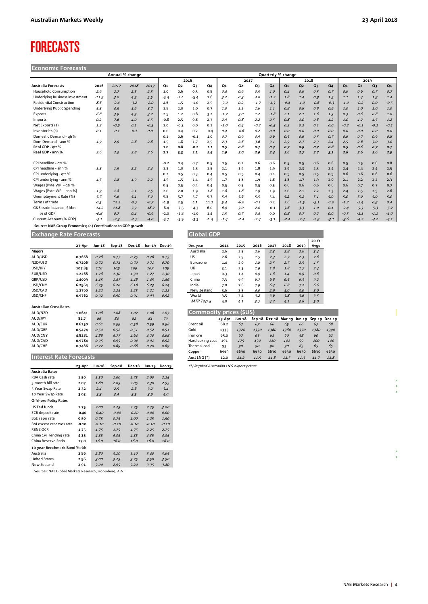### <span id="page-3-0"></span>FORECASTS

| <b>Economic Forecasts</b> |  |
|---------------------------|--|
|                           |  |
|                           |  |

| Annual % change                 |         |        |        |         |        |        |        |        | Quarterly % change |        |        |        |                |                |        |        |                |                |        |        |
|---------------------------------|---------|--------|--------|---------|--------|--------|--------|--------|--------------------|--------|--------|--------|----------------|----------------|--------|--------|----------------|----------------|--------|--------|
|                                 |         |        |        |         |        | 2016   |        |        |                    | 2017   |        |        |                | 2018           |        |        |                | 2019           |        |        |
| <b>Australia Forecasts</b>      | 2016    | 2017   | 2018   | 2019    | Q1     | Q2     | Q3     | Q4     | Q <sub>1</sub>     | Q2     | Q3     | Q4     | Q <sub>1</sub> | Q <sub>2</sub> | Q3     | Q4     | Q <sub>1</sub> | Q <sub>2</sub> | Q3     | Q4     |
| <b>Household Consumption</b>    | 2.9     | 2.7    | 2.5    | 2.5     | 1.0    | 0.6    | 0.5    | 0.8    | 0.4                | 0.9    | 0.5    | 1.0    | 0.4            | 0.6            | 0.5    | 0.7    | 0.6            | 0.6            | 0.7    | 0.7    |
| Underlying Business Investment  | $-11.9$ | 3.0    | 4.9    | 5.5     | $-3.4$ | $-2.4$ | $-5.4$ | 1.6    | 3.2                | 0.3    | 4.0    | $-1.2$ | 1.8            | 1.4            | 0.9    | 1.5    | 1.1            | 1.4            | 1.9    | 1.4    |
| <b>Residential Construction</b> | 8.6     | $-2.4$ | $-3.2$ | $-2.0$  | 4.6    | 1.5    | $-1.0$ | 2.5    | $-3.0$             | 0.2    | $-1.7$ | $-1.3$ | $-0.4$         | $-1.0$         | $-0.6$ | $-0.3$ | $-1.0$         | $-0.2$         | O.O    | $-0.5$ |
| Underlying Public Spending      | 5.3     | 4.5    | 3.9    | 3.7     | 1.8    | 2.0    | 1.0    | 0.7    | 1.0                | 1.1    | 1.6    | 1.1    | 0.8            | 0.8            | 0.8    | 0.9    | $1.0$          | 1.0            | $1.0$  | 1.0    |
| Exports                         | 6.8     | 3.9    | 4.9    | 3.7     | 2.5    | 1.2    | 0.8    | 3.2    | $-1.7$             | 3.0    | 1.2    | $-1.8$ | 2.1            | 2.1            | 1.6    | 1.3    | 0.3            | 0.6            | 0.8    | 1.0    |
| Imports                         | 0.2     | 7.6    | 4.0    | 4.5     | $-0.8$ | 2.5    | 0.8    | 2.3    | 2.9                | 0.8    | 2.2    | 0.5    | 0.8            | 1.0            | 0.8    | 1.2    | 1.0            | 1.2            | 1.5    | 1.2    |
| Net Exports (a)                 | 1.2     | $-0.9$ | 0.1    | $-0.3$  | 1.0    | $-0.3$ | 0.0    | 0.1    | $-1.0$             | 0.4    | $-0.2$ | $-0.5$ | 0.2            | 0.2            | 0.1    | O.O    | $-0.2$         | $-0.1$         | $-0.2$ | $-0.1$ |
| Inventories (a)                 | O.1     | $-0.1$ | $-0.1$ | 0.0     | 0.0    | 0.4    | 0.2    | $-0.4$ | 0.4                | $-0.6$ | O.2    | O.O    | O.O            | O.O            | O.O    | O.O    | O.O            | O.O            | O.O    | O.O    |
| Domestic Demand - atr%          |         |        |        |         | 0.1    | 0.6    | $-0.1$ | 1.0    | 0.7                | 0.9    | 0.9    | 0.6    | 0.5            | 0.6            | 0.5    | 0.7    | 0.6            | 0.7            | O.G    | 0.8    |
| Dom Demand - ann %              | 1.9     | 2.9    | 2.6    | 2.8     | 1.5    | 1.8    | 1.7    | 2.5    | 2.3                | 2.6    | 3.6    | 3.1    | 2.9            | 2.7            | 2.3    | 2.4    | 2.5            | 2.6            | 3.0    | 3.0    |
| Real GDP - atr %                |         |        |        |         | 1.0    | 0.8    | $-0.2$ | 1.1    | 0.5                | 0.8    | 0.7    | 0.4    | 0.7            | 0.9            | 0.7    | 0.8    | 0.5            | 0.6            | 0.7    | 0.7    |
| Real GDP - ann %                | 2.6     | 2.3    | 2.8    | 2.6     | 2.7    | 3.3    | 2.1    | 2.4    | 1.9                | 2.0    | 2.9    | 2.4    | 2.6            | 2.7            | 2.7    | 3.1    | 2.8            | 2.6            | 2.6    | 2.5    |
|                                 |         |        |        |         |        |        |        |        |                    |        |        |        |                |                |        |        |                |                |        |        |
| CPI headline - atr %            |         |        |        |         | $-0.2$ | 0.4    | 0.7    | 0.5    | 0.5                | 0.2    | 0.6    | 0.6    | 0.5            | 0.5            | 0.6    | 0.8    | 0.5            | 0.5            | 0.6    | 0.8    |
| CPI headline - ann %            | 1.3     | 1.9    | 2.2    | 2.4     | 1.3    | $1.0$  | 1.3    | 1.5    | 2.1                | 1.9    | 1.8    | 1.9    | 1.9            | 2.3            | 2.3    | 2.4    | 2.4            | 2.4            | 2.4    | 2.5    |
| CPI underlying - gtr %          |         |        |        |         | 0.2    | 0.5    | 0.3    | 0.4    | 0.5                | 0.5    | 0.4    | 0.4    | 0.5            | 0.5            | 0.5    | 0.5    | 0.6            | 0.6            | 0.6    | 0.6    |
| CPI underlying - ann %          | 1.5     | 1.8    | 1.9    | 2.2     | 1.5    | 1.5    | 1.4    | 1.5    | 1.7                | 1.8    | 1.9    | 1.8    | 1.8            | 1.7            | 1.9    | 2.0    | 2.1            | 2.2            | 2.2    | 2.3    |
| Wages (Pvte WPI - gtr %         |         |        |        |         | 0.5    | 0.5    | 0.4    | 0.4    | 0.5                | 0.5    | 0.5    | 0.5    | 0.6            | 0.6            | 0.6    | 0.6    | 0.6            | 0.7            | 0.7    | 0.7    |
| Wages (Pvte WPI - ann %)        | 1.9     | 1.8    | 2.1    | 2.5     | 2.0    | 2.0    | 1.9    | 1.8    | 1.8                | 1.8    | 1.9    | 1.9    | 2.0            | 2.1            | 2.2    | 2.3    | 2.4            | 2.5            | 2.5    | 2.6    |
| Unemployment Rate (%)           | 5.7     | 5.6    | 5.1    | 5.0     | 5.8    | 5.7    | 5.7    | 5.7    | 5.9                | 5.6    | 5.5    | 5.4    | 5.2            | 5.1            | 5.1    | 5.0    | 5.0            | 5.0            | 5.0    | 5.0    |
| Terms of trade                  | 0.5     | 12.2   | $-0.7$ | $-0.7$  | $-1.9$ | 2.5    | 4.1    | 11.2   | 5.4                | $-6.0$ | $-0.1$ | 0.2    | 2.6            | $-1.5$         | $-3.1$ | $-1.0$ | $-1.7$         | $-2.4$         | O.9    | 0.4    |
| G&S trade balance, SAbn         | $-14.2$ | 11.8   | 7.9    | $-18.2$ | $-8.4$ | $-7.5$ | $-4.3$ | 6.0    | 6.9                | 3.0    | 2.0    | $-0.1$ | 3.6            | 3.3            | 1.0    | 0.1    | $-2.4$         | $-5.3$         | $-5.3$ | $-5.2$ |
| % of GDP                        | $-0.8$  | 0.7    | 0.4    | $-0.9$  | $-2.0$ | $-1.8$ | $-1.0$ | 1.4    | 1.5                | 0.7    | 0.4    | 0.0    | 0.8            | 0.7            | 0.2    | O.O    | $-0.5$         | $-1.1$         | $-1.1$ | $-1.0$ |
| Current Account (% GDP)         | $-3.1$  | $-2.3$ | $-2.7$ | $-4.0$  | $-3.7$ | $-3.9$ | $-3.3$ | $-1.4$ | $-1.4$             | $-2.4$ | $-2.4$ | $-3.1$ | $-2.4$         | $-2.4$         | $-2.9$ | $-3.1$ | $-3.6$         | $-4.2$         | $-4.2$ | $-4.1$ |

 **Source: NAB Group Economics; (a) Contributions to GDP growth**

### **Exchange Rate Forecasts Global GDP**

|                               | 23-Apr | Jun-18 | $Sep-18$ | <b>Dec-18</b> | Jun-19 | <b>Dec-19</b> |
|-------------------------------|--------|--------|----------|---------------|--------|---------------|
|                               |        |        |          |               |        |               |
|                               | 0.7668 | 0.78   | 0.77     | 0.75          | 0.76   | 0.75          |
| NZD/USD                       | 0.7206 | 0.72   | 0.71     | 0.70          | 0.71   | 0.70          |
| USD/JPY                       | 107.85 | 110    | 109      | 109           | 107    | 105           |
| EUR/USD                       | 1.2268 | 1.28   | 1.30     | 1.30          | 1.27   | 1.30          |
| GBP/USD                       | 1.4009 | 1.45   | 1.47     | 1.48          | 1.45   | 1.46          |
| USD/CNY                       | 6.2964 | 6.25   | 6.20     | 6.18          | 6.23   | 6.24          |
| USD/CAD                       | 1.2760 | 1.22   | 1.24     | 1.25          | 1.21   | 1.22          |
| USD/CHF                       | 0.9762 | 0.92   | 0.90     | 0.91          | 0.93   | 0.92          |
|                               |        |        |          |               |        |               |
| <b>Australian Cross Rates</b> |        |        |          |               |        |               |
| AUD/NZD                       | 1.0641 | 1.08   | 1.08     | 1.07          | 1.06   | 1.07          |
| AUD/JPY                       | 82.7   | 86     | 84       | 82            | 81     | 79            |
| AUD/EUR                       | 0.6250 | 0.61   | 0.59     | 0.58          | 0.59   | 0.58          |
| AUD/GBP                       | 0.5474 | 0.54   | 0.52     | 0.51          | 0.52   | 0.51          |
| AUD/CNY                       | 4.8281 | 4.88   | 4.77     | 4.64          | 4.70   | 4.68          |
| AUD/CAD                       | 0.9784 | 0.95   | 0.95     | 0.94          | 0.91   | 0.92          |
| AUD/CHF                       | 0.7486 | 0.72   | 0.69     | 0.68          | 0.70   | 0.69          |
|                               |        |        |          |               |        |               |

#### **Interest Rate Forecasts** Aust LNG (\*) 12.0 11.2 11.5 11.8 11.7 11.3 11.7 11.8

|                               | 23-Apr  | Jun-18  | $Sep-18$ | <b>Dec-18</b> | Jun-19  | <b>Dec-19</b> |
|-------------------------------|---------|---------|----------|---------------|---------|---------------|
| <b>Australia Rates</b>        |         |         |          |               |         |               |
| <b>RBA Cash rate</b>          | 1.50    | 1.50    | 1.50     | 1.75          | 2.00    | 2.25          |
| 3 month bill rate             | 2.07    | 1.80    | 2.05     | 2.05          | 2.30    | 2.55          |
| 3 Year Swap Rate              | 2.32    | 2.4     | 2.5      | 2.6           | 3.2     | 3.4           |
| 10 Year Swap Rate             | 3.03    | 3.3     | 3.4      | 3.5           | 3.9     | 4.0           |
| <b>Offshore Policy Rates</b>  |         |         |          |               |         |               |
| US Fed funds                  | 1.75    | 2.00    | 2.25     | 2.25          | 2.75    | 3.00          |
| ECB deposit rate              | $-0.40$ | $-0.40$ | $-0.40$  | $-0.20$       | 0.00    | 0.00          |
| BoE repo rate                 | 0.50    | 0.75    | 0.75     | 1.00          | 1.25    | 1.50          |
| Bol excess reserves rate      | $-0.10$ | $-0.10$ | $-0.10$  | $-0.10$       | $-0.10$ | $-0.10$       |
| <b>RBNZ OCR</b>               | 1.75    | 1.75    | 1.75     | 1.75          | 2.25    | 2.75          |
| China 1yr lending rate        | 4.35    | 4.35    | 4.35     | 4.35          | 4.35    | 4.35          |
| China Reserve Ratio           | 17.0    | 16.0    | 16.0     | 16.0          | 16.0    | 16.0          |
| 10-year Benchmark Bond Yields |         |         |          |               |         |               |
| Australia                     | 2.86    | 2.80    | 3.10     | 3.10          | 3.40    | 3.65          |
| <b>United States</b>          | 2.96    | 3.00    | 3.25     | 3.25          | 3.50    | 3.50          |
| New Zealand                   | 2.91    | 3.00    | 2.95     | 3.20          | 3.35    | 3.80          |

Sources: NAB Global Markets Research; Bloomberg; ABS

## **23-Apr Jun-18 Sep-18 Dec-18 Jun-19 Dec-19** Dec year **2014 2015 2016 2017 2018 2019 20 Yr Avge** MTP Top 5 4.0 4.1 3.7 4.2 4.1 3.8 5.0

#### **Commodity prices (\$US) 823-Apr Jun-18 Sep-18 Dec-18 Mar-19 Jun-19 Sep-19 Dec-19**<br>Brent oil 68.2 67 67 66 65 66 67 68 AUD/EUR **0.6250** 0.61 0.59 0.58 0.59 0.58 Brent oil 68.2 67 67 66 65 66 67 68 AUD/GBP **0.5474** 0.54 0.52 0.51 0.52 0.51 Gold 1333 1320 1330 1360 1380 1370 1380 1390 AUD/CNY **4.8281** 4.88 4.77 4.64 4.70 4.68 Iron ore 65.0 67 63 61 60 58 60 62 AUD/CAD **0.9784** 0.95 0.95 0.94 0.91 0.92 Hard coking coal 191 175 130 <sup>110</sup> <sup>101</sup> 99 <sup>100</sup> <sup>100</sup> AUD/CHF **0.7486** 0.72 0.69 0.68 0.70 0.69 Thermal coal 93 90 90 90 90 65 65 65 Copper 6969 6690 6630 6630 6630 6630 6630 6630

**23-Apr Jun-18 Sep-18 Dec-18 Jun-19 Dec-19** (\*) Implied Australian LNG export prices.

 $\bar{1}$ 

 $\mathbf{I}$